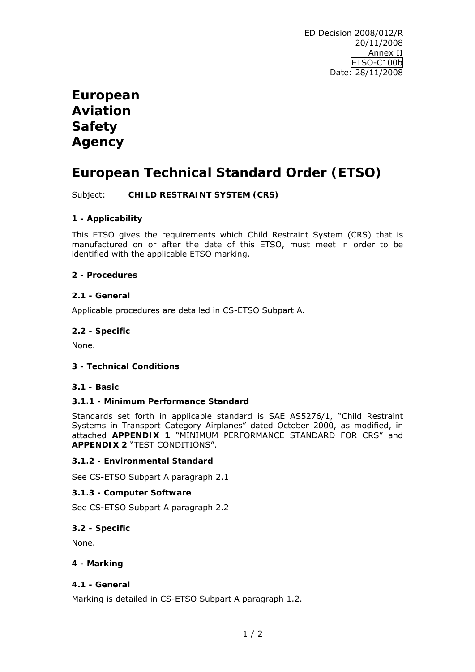# **European Aviation Safety Agency**

# **European Technical Standard Order (ETSO)**

Subject: **CHILD RESTRAINT SYSTEM (CRS)**

## **1 - Applicability**

This ETSO gives the requirements which Child Restraint System (CRS) that is manufactured on or after the date of this ETSO, must meet in order to be identified with the applicable ETSO marking.

## **2 - Procedures**

## **2.1 - General**

Applicable procedures are detailed in CS-ETSO Subpart A.

## **2.2 - Specific**

None.

## **3 - Technical Conditions**

## **3.1 - Basic**

## **3.1.1 - Minimum Performance Standard**

Standards set forth in applicable standard is SAE AS5276/1, "Child Restraint Systems in Transport Category Airplanes" dated October 2000, as modified, in attached **APPENDIX 1** "MINIMUM PERFORMANCE STANDARD FOR CRS" and **APPENDIX 2** "TEST CONDITIONS".

## **3.1.2 - Environmental Standard**

See CS-ETSO Subpart A paragraph 2.1

## **3.1.3 - Computer Software**

See CS-ETSO Subpart A paragraph 2.2

## **3.2 - Specific**

None.

## **4 - Marking**

## **4.1 - General**

Marking is detailed in CS-ETSO Subpart A paragraph 1.2.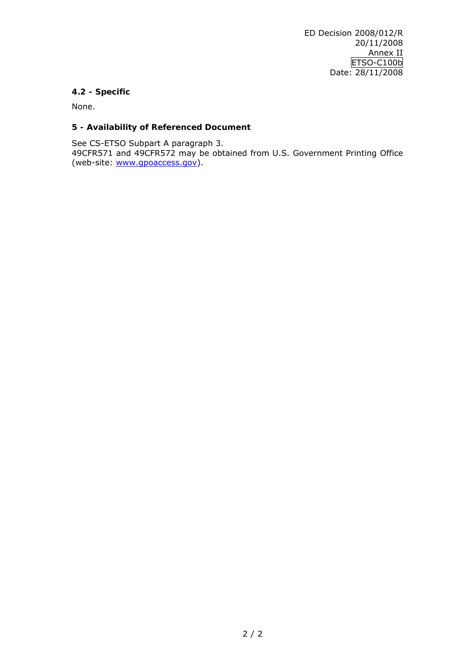# **4.2 - Specific**

None.

# **5 - Availability of Referenced Document**

See CS-ETSO Subpart A paragraph 3.

49CFR571 and 49CFR572 may be obtained from U.S. Government Printing Office (web-site: [www.gpoaccess.gov](http://www.gpoaccess.gov/)).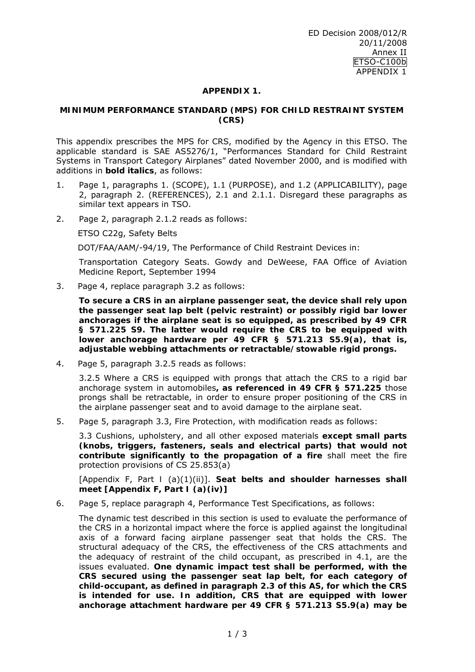## **APPENDIX 1.**

#### **MINIMUM PERFORMANCE STANDARD (MPS) FOR CHILD RESTRAINT SYSTEM (CRS)**

This appendix prescribes the MPS for CRS, modified by the Agency in this ETSO. The applicable standard is SAE AS5276/1, "Performances Standard for Child Restraint Systems in Transport Category Airplanes" dated November 2000, and is modified with additions in *bold italics*, as follows:

- 1. Page 1, paragraphs 1. (SCOPE), 1.1 (PURPOSE), and 1.2 (APPLICABILITY), page 2, paragraph 2. (REFERENCES), 2.1 and 2.1.1. Disregard these paragraphs as similar text appears in TSO.
- 2. Page 2, paragraph 2.1.2 reads as follows:

ETSO C22g, Safety Belts

DOT/FAA/AAM/-94/19, The Performance of Child Restraint Devices in:

 Transportation Category Seats. Gowdy and DeWeese, FAA Office of Aviation Medicine Report, September 1994

3. Page 4, replace paragraph 3.2 as follows:

 *To secure a CRS in an airplane passenger seat, the device shall rely upon the passenger seat lap belt (pelvic restraint) or possibly rigid bar lower anchorages if the airplane seat is so equipped, as prescribed by 49 CFR § 571.225 S9. The latter would require the CRS to be equipped with lower anchorage hardware per 49 CFR § 571.213 S5.9(a), that is, adjustable webbing attachments or retractable/stowable rigid prongs.* 

4. Page 5, paragraph 3.2.5 reads as follows:

 3.2.5 Where a CRS is equipped with prongs that attach the CRS to a rigid bar anchorage system in automobiles**,** *as referenced in 49 CFR § 571.225* those prongs shall be retractable, in order to ensure proper positioning of the CRS in the airplane passenger seat and to avoid damage to the airplane seat.

5. Page 5, paragraph 3.3, Fire Protection, with modification reads as follows:

 3.3 Cushions, upholstery, and all other exposed materials *except small parts (knobs, triggers, fasteners, seals and electrical parts) that would not contribute significantly to the propagation of a fire* shall meet the fire protection provisions of CS 25.853(a)

 [Appendix F, Part *I* (a)(1)(ii)]. *Seat belts and shoulder harnesses shall meet [Appendix F, Part I (a)(iv)]*

6. Page 5, replace paragraph 4, Performance Test Specifications, as follows:

 The dynamic test described in this section is used to evaluate the performance of the CRS in a horizontal impact where the force is applied against the longitudinal axis of a forward facing airplane passenger seat that holds the CRS. The structural adequacy of the CRS, the effectiveness of the CRS attachments and the adequacy of restraint of the child occupant, as prescribed in 4.1, are the issues evaluated. *One dynamic impact test shall be performed, with the CRS secured using the passenger seat lap belt, for each category of child-occupant, as defined in paragraph 2.3 of this AS, for which the CRS is intended for use. In addition, CRS that are equipped with lower anchorage attachment hardware per 49 CFR § 571.213 S5.9(a) may be*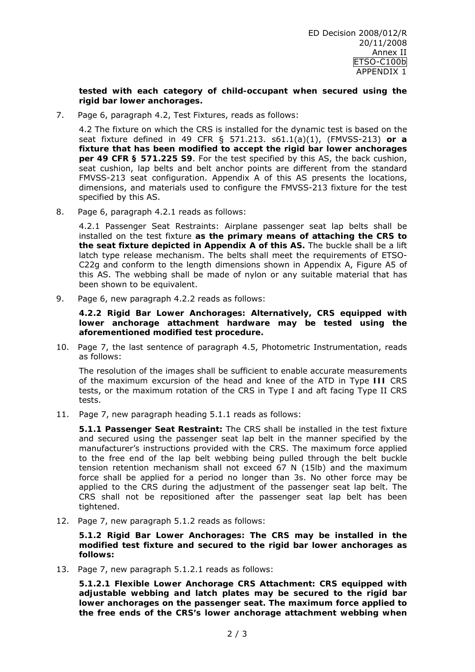*tested with each category of child-occupant when secured using the rigid bar lower anchorages.* 

7. Page 6, paragraph 4.2, Test Fixtures, reads as follows:

 4.2 The fixture on which the CRS is installed for the dynamic test is based on the seat fixture defined in 49 CFR § 571.213. s61.1(a)(1), (FMVSS-213) *or a fixture that has been modified to accept the rigid bar lower anchorages per 49 CFR § 571.225 S9*. For the test specified by this AS, the back cushion, seat cushion, lap belts and belt anchor points are different from the standard FMVSS-213 seat configuration. Appendix A of this AS presents the locations, dimensions, and materials used to configure the FMVSS-213 fixture for the test specified by this AS.

8. Page 6, paragraph 4.2.1 reads as follows:

 4.2.1 Passenger Seat Restraints: Airplane passenger seat lap belts shall be installed on the test fixture *as the primary means of attaching the CRS to the seat fixture depicted in Appendix A of this AS***.** The buckle shall be a lift latch type release mechanism. The belts shall meet the requirements of ETSO-C22g and conform to the length dimensions shown in Appendix A, Figure A5 of this AS. The webbing shall be made of nylon or any suitable material that has been shown to be equivalent.

9. Page 6, new paragraph 4.2.2 reads as follows:

 *4.2.2 Rigid Bar Lower Anchorages: Alternatively, CRS equipped with lower anchorage attachment hardware may be tested using the aforementioned modified test procedure.* 

10. Page 7, the last sentence of paragraph 4.5, Photometric Instrumentation, reads as follows:

 The resolution of the images shall be sufficient to enable accurate measurements of the maximum excursion of the head and knee of the ATD in Type *III* CRS tests, or the maximum rotation of the CRS in Type I and aft facing Type II CRS tests.

11. Page 7, new paragraph heading 5.1.1 reads as follows:

 *5.1.1 Passenger Seat Restraint:* The CRS shall be installed in the test fixture and secured using the passenger seat lap belt in the manner specified by the manufacturer's instructions provided with the CRS. The maximum force applied to the free end of the lap belt webbing being pulled through the belt buckle tension retention mechanism shall not exceed 67 N (15lb) and the maximum force shall be applied for a period no longer than 3s. No other force may be applied to the CRS during the adjustment of the passenger seat lap belt. The CRS shall not be repositioned after the passenger seat lap belt has been tightened.

12. Page 7, new paragraph 5.1.2 reads as follows:

 *5.1.2 Rigid Bar Lower Anchorages: The CRS may be installed in the modified test fixture and secured to the rigid bar lower anchorages as follows:* 

13. Page 7, new paragraph 5.1.2.1 reads as follows:

 *5.1.2.1 Flexible Lower Anchorage CRS Attachment: CRS equipped with adjustable webbing and latch plates may be secured to the rigid bar lower anchorages on the passenger seat. The maximum force applied to the free ends of the CRS's lower anchorage attachment webbing when*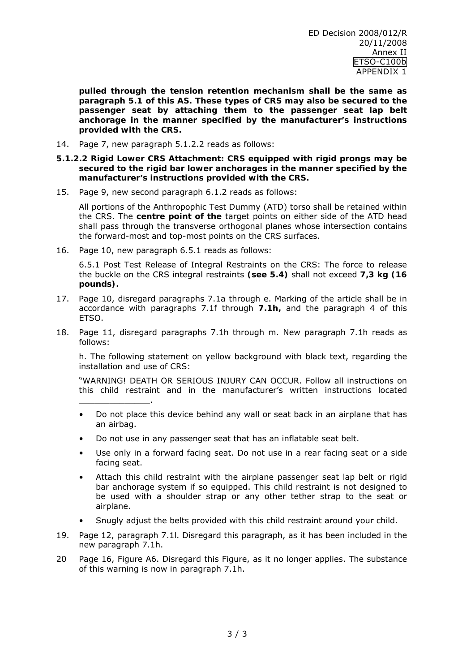*pulled through the tension retention mechanism shall be the same as paragraph 5.1 of this AS. These types of CRS may also be secured to the passenger seat by attaching them to the passenger seat lap belt anchorage in the manner specified by the manufacturer's instructions provided with the CRS.* 

14. Page 7, new paragraph 5.1.2.2 reads as follows:

#### *5.1.2.2 Rigid Lower CRS Attachment: CRS equipped with rigid prongs may be secured to the rigid bar lower anchorages in the manner specified by the manufacturer's instructions provided with the CRS.*

15. Page 9, new second paragraph 6.1.2 reads as follows:

 All portions of the Anthropophic Test Dummy (ATD) torso shall be retained within the CRS. The *centre point of the* target points on either side of the ATD head shall pass through the transverse orthogonal planes whose intersection contains the forward-most and top-most points on the CRS surfaces.

16. Page 10, new paragraph 6.5.1 reads as follows:

 $\overline{\phantom{a}}$  , and the set of the set of the set of the set of the set of the set of the set of the set of the set of the set of the set of the set of the set of the set of the set of the set of the set of the set of the s

 6.5.1 Post Test Release of Integral Restraints on the CRS: The force to release the buckle on the CRS integral restraints **(***see 5.4***)** shall not exceed *7,3 kg (16 pounds).*

- 17. Page 10, disregard paragraphs 7.1a through e. Marking of the article shall be in accordance with paragraphs 7.1f through *7.1h***,** and the paragraph 4 of this ETSO.
- 18. Page 11, disregard paragraphs 7.1h through m. New paragraph 7.1h reads as follows:

 h. The following statement on yellow background with black text, regarding the installation and use of CRS:

 "WARNING! DEATH OR SERIOUS INJURY CAN OCCUR. Follow all instructions on this child restraint and in the manufacturer's written instructions located

- Do not place this device behind any wall or seat back in an airplane that has an airbag.
- Do not use in any passenger seat that has an inflatable seat belt.
- Use only in a forward facing seat. Do not use in a rear facing seat or a side facing seat.
- Attach this child restraint with the airplane passenger seat lap belt or rigid bar anchorage system if so equipped. This child restraint is not designed to be used with a shoulder strap or any other tether strap to the seat or airplane.
- Snugly adjust the belts provided with this child restraint around your child.
- 19. Page 12, paragraph 7.1l. Disregard this paragraph, as it has been included in the new paragraph 7.1h.
- 20 Page 16, Figure A6. Disregard this Figure, as it no longer applies. The substance of this warning is now in paragraph 7.1h.